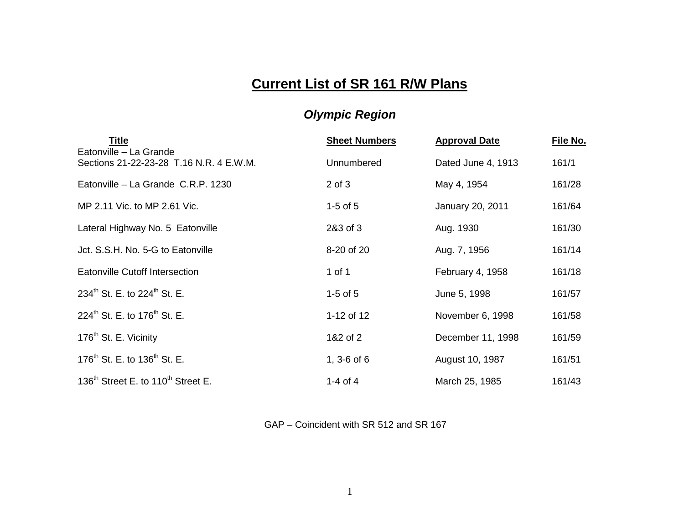## **Current List of SR 161 R/W Plans**

## *Olympic Region*

| Title<br>Eatonville - La Grande                            | <b>Sheet Numbers</b> | <b>Approval Date</b> | File No. |
|------------------------------------------------------------|----------------------|----------------------|----------|
| Sections 21-22-23-28 T.16 N.R. 4 E.W.M.                    | Unnumbered           | Dated June 4, 1913   | 161/1    |
| Eatonville - La Grande C.R.P. 1230                         | $2$ of $3$           | May 4, 1954          | 161/28   |
| MP 2.11 Vic. to MP 2.61 Vic.                               | $1-5$ of $5$         | January 20, 2011     | 161/64   |
| Lateral Highway No. 5 Eatonville                           | 2&3 of 3             | Aug. 1930            | 161/30   |
| Jct. S.S.H. No. 5-G to Eatonville                          | 8-20 of 20           | Aug. 7, 1956         | 161/14   |
| Eatonville Cutoff Intersection                             | 1 of 1               | February 4, 1958     | 161/18   |
| 234 <sup>th</sup> St. E. to 224 <sup>th</sup> St. E.       | $1-5$ of $5$         | June 5, 1998         | 161/57   |
| 224 <sup>th</sup> St. E. to 176 <sup>th</sup> St. E.       | 1-12 of 12           | November 6, 1998     | 161/58   |
| 176 <sup>th</sup> St. E. Vicinity                          | 1&2 of 2             | December 11, 1998    | 161/59   |
| 176 <sup>th</sup> St. E. to 136 <sup>th</sup> St. E.       | 1, $3-6$ of $6$      | August 10, 1987      | 161/51   |
| 136 <sup>th</sup> Street E. to 110 <sup>th</sup> Street E. | 1-4 of $4$           | March 25, 1985       | 161/43   |

GAP – Coincident with SR 512 and SR 167